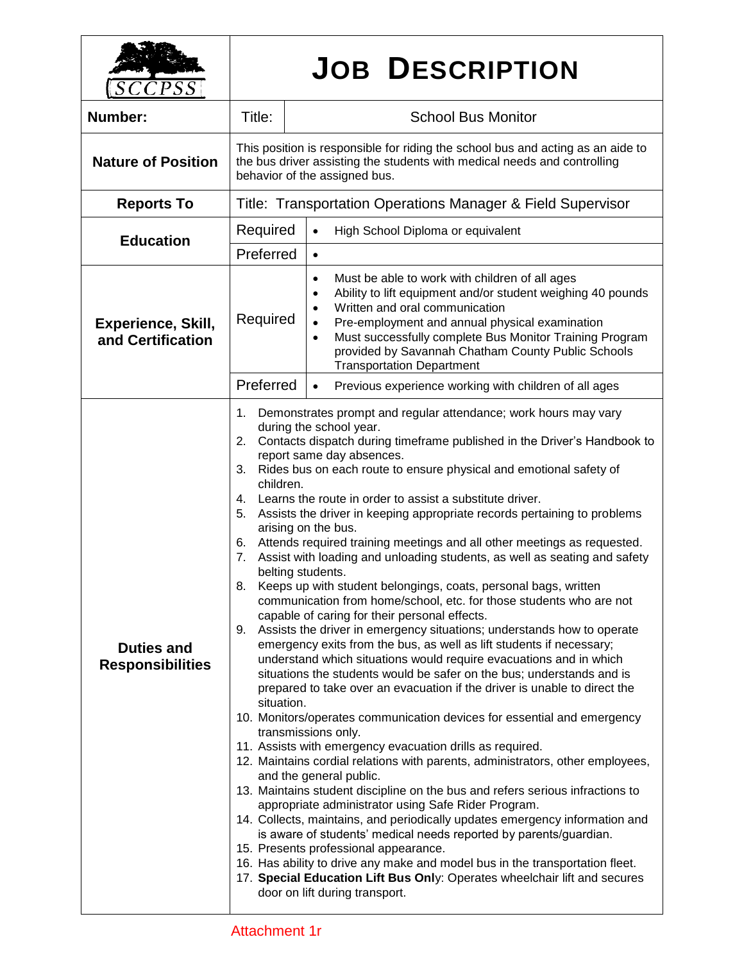| SCCPSS                                         |                                                                                                                                                                                                                                                                                                                                                                                                                                                                                                                                                                                                                                                                                                                                                                                                                                                                                                                                                                                                                                                                                                                                                                                                                                                                                                                                                                                                                                                                                                                                                                                                                                                                                                                                                                                                                                                                                                                                                                                                                                                                                                                                                                    | <b>JOB DESCRIPTION</b>                                                                                                                                                                                                                                                                                                                                                                        |  |
|------------------------------------------------|--------------------------------------------------------------------------------------------------------------------------------------------------------------------------------------------------------------------------------------------------------------------------------------------------------------------------------------------------------------------------------------------------------------------------------------------------------------------------------------------------------------------------------------------------------------------------------------------------------------------------------------------------------------------------------------------------------------------------------------------------------------------------------------------------------------------------------------------------------------------------------------------------------------------------------------------------------------------------------------------------------------------------------------------------------------------------------------------------------------------------------------------------------------------------------------------------------------------------------------------------------------------------------------------------------------------------------------------------------------------------------------------------------------------------------------------------------------------------------------------------------------------------------------------------------------------------------------------------------------------------------------------------------------------------------------------------------------------------------------------------------------------------------------------------------------------------------------------------------------------------------------------------------------------------------------------------------------------------------------------------------------------------------------------------------------------------------------------------------------------------------------------------------------------|-----------------------------------------------------------------------------------------------------------------------------------------------------------------------------------------------------------------------------------------------------------------------------------------------------------------------------------------------------------------------------------------------|--|
| <b>Number:</b>                                 | Title:                                                                                                                                                                                                                                                                                                                                                                                                                                                                                                                                                                                                                                                                                                                                                                                                                                                                                                                                                                                                                                                                                                                                                                                                                                                                                                                                                                                                                                                                                                                                                                                                                                                                                                                                                                                                                                                                                                                                                                                                                                                                                                                                                             | <b>School Bus Monitor</b>                                                                                                                                                                                                                                                                                                                                                                     |  |
| <b>Nature of Position</b>                      | This position is responsible for riding the school bus and acting as an aide to<br>the bus driver assisting the students with medical needs and controlling<br>behavior of the assigned bus.                                                                                                                                                                                                                                                                                                                                                                                                                                                                                                                                                                                                                                                                                                                                                                                                                                                                                                                                                                                                                                                                                                                                                                                                                                                                                                                                                                                                                                                                                                                                                                                                                                                                                                                                                                                                                                                                                                                                                                       |                                                                                                                                                                                                                                                                                                                                                                                               |  |
| <b>Reports To</b>                              | Title: Transportation Operations Manager & Field Supervisor                                                                                                                                                                                                                                                                                                                                                                                                                                                                                                                                                                                                                                                                                                                                                                                                                                                                                                                                                                                                                                                                                                                                                                                                                                                                                                                                                                                                                                                                                                                                                                                                                                                                                                                                                                                                                                                                                                                                                                                                                                                                                                        |                                                                                                                                                                                                                                                                                                                                                                                               |  |
| <b>Education</b>                               | Required                                                                                                                                                                                                                                                                                                                                                                                                                                                                                                                                                                                                                                                                                                                                                                                                                                                                                                                                                                                                                                                                                                                                                                                                                                                                                                                                                                                                                                                                                                                                                                                                                                                                                                                                                                                                                                                                                                                                                                                                                                                                                                                                                           | High School Diploma or equivalent<br>$\bullet$                                                                                                                                                                                                                                                                                                                                                |  |
|                                                | Preferred                                                                                                                                                                                                                                                                                                                                                                                                                                                                                                                                                                                                                                                                                                                                                                                                                                                                                                                                                                                                                                                                                                                                                                                                                                                                                                                                                                                                                                                                                                                                                                                                                                                                                                                                                                                                                                                                                                                                                                                                                                                                                                                                                          | $\bullet$                                                                                                                                                                                                                                                                                                                                                                                     |  |
| <b>Experience, Skill,</b><br>and Certification | Required<br>Preferred                                                                                                                                                                                                                                                                                                                                                                                                                                                                                                                                                                                                                                                                                                                                                                                                                                                                                                                                                                                                                                                                                                                                                                                                                                                                                                                                                                                                                                                                                                                                                                                                                                                                                                                                                                                                                                                                                                                                                                                                                                                                                                                                              | Must be able to work with children of all ages<br>$\bullet$<br>Ability to lift equipment and/or student weighing 40 pounds<br>Written and oral communication<br>$\bullet$<br>Pre-employment and annual physical examination<br>Must successfully complete Bus Monitor Training Program<br>$\bullet$<br>provided by Savannah Chatham County Public Schools<br><b>Transportation Department</b> |  |
| <b>Duties and</b><br><b>Responsibilities</b>   | Previous experience working with children of all ages<br>$\bullet$<br>Demonstrates prompt and regular attendance; work hours may vary<br>1.<br>during the school year.<br>2.<br>Contacts dispatch during timeframe published in the Driver's Handbook to<br>report same day absences.<br>3.<br>Rides bus on each route to ensure physical and emotional safety of<br>children.<br>4. Learns the route in order to assist a substitute driver.<br>5.<br>Assists the driver in keeping appropriate records pertaining to problems<br>arising on the bus.<br>Attends required training meetings and all other meetings as requested.<br>6.<br>Assist with loading and unloading students, as well as seating and safety<br>7.<br>belting students.<br>Keeps up with student belongings, coats, personal bags, written<br>8.<br>communication from home/school, etc. for those students who are not<br>capable of caring for their personal effects.<br>Assists the driver in emergency situations; understands how to operate<br>9.<br>emergency exits from the bus, as well as lift students if necessary;<br>understand which situations would require evacuations and in which<br>situations the students would be safer on the bus; understands and is<br>prepared to take over an evacuation if the driver is unable to direct the<br>situation.<br>10. Monitors/operates communication devices for essential and emergency<br>transmissions only.<br>11. Assists with emergency evacuation drills as required.<br>12. Maintains cordial relations with parents, administrators, other employees,<br>and the general public.<br>13. Maintains student discipline on the bus and refers serious infractions to<br>appropriate administrator using Safe Rider Program.<br>14. Collects, maintains, and periodically updates emergency information and<br>is aware of students' medical needs reported by parents/guardian.<br>15. Presents professional appearance.<br>16. Has ability to drive any make and model bus in the transportation fleet.<br>17. Special Education Lift Bus Only: Operates wheelchair lift and secures<br>door on lift during transport. |                                                                                                                                                                                                                                                                                                                                                                                               |  |

## Attachment 1r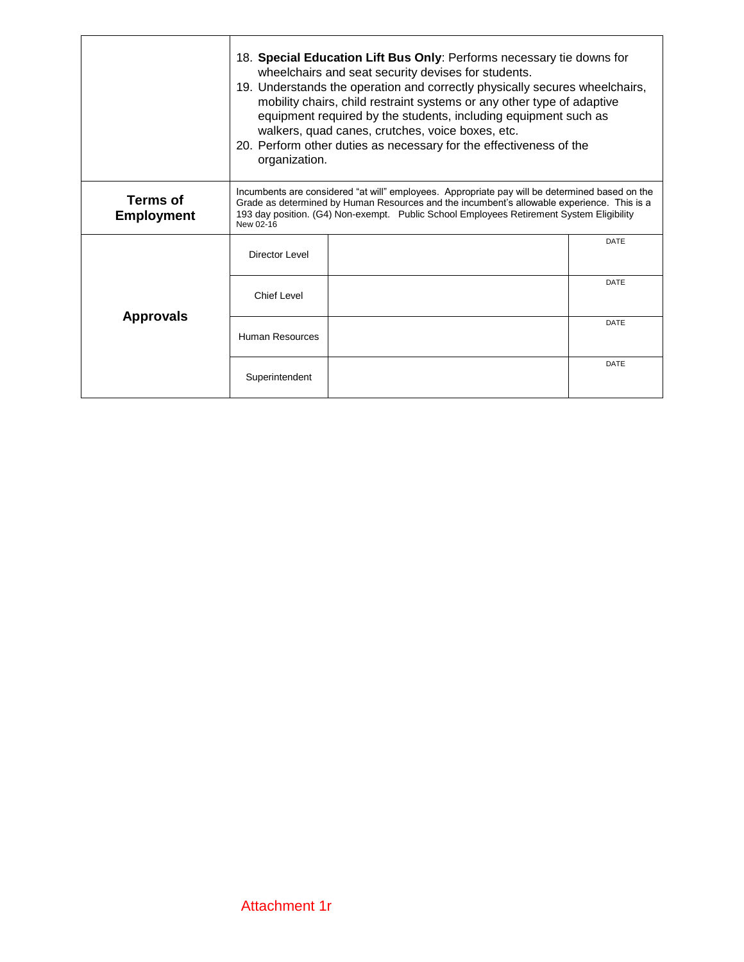|                               | 18. Special Education Lift Bus Only: Performs necessary tie downs for<br>wheelchairs and seat security devises for students.<br>19. Understands the operation and correctly physically secures wheelchairs,<br>mobility chairs, child restraint systems or any other type of adaptive<br>equipment required by the students, including equipment such as<br>walkers, quad canes, crutches, voice boxes, etc.<br>20. Perform other duties as necessary for the effectiveness of the<br>organization. |  |             |  |  |
|-------------------------------|-----------------------------------------------------------------------------------------------------------------------------------------------------------------------------------------------------------------------------------------------------------------------------------------------------------------------------------------------------------------------------------------------------------------------------------------------------------------------------------------------------|--|-------------|--|--|
| Terms of<br><b>Employment</b> | Incumbents are considered "at will" employees. Appropriate pay will be determined based on the<br>Grade as determined by Human Resources and the incumbent's allowable experience. This is a<br>193 day position. (G4) Non-exempt. Public School Employees Retirement System Eligibility<br>New 02-16                                                                                                                                                                                               |  |             |  |  |
| <b>Approvals</b>              | Director Level                                                                                                                                                                                                                                                                                                                                                                                                                                                                                      |  | DATE        |  |  |
|                               | <b>Chief Level</b>                                                                                                                                                                                                                                                                                                                                                                                                                                                                                  |  | <b>DATE</b> |  |  |
|                               | Human Resources                                                                                                                                                                                                                                                                                                                                                                                                                                                                                     |  | <b>DATE</b> |  |  |
|                               | Superintendent                                                                                                                                                                                                                                                                                                                                                                                                                                                                                      |  | DATE        |  |  |

ľ

٦